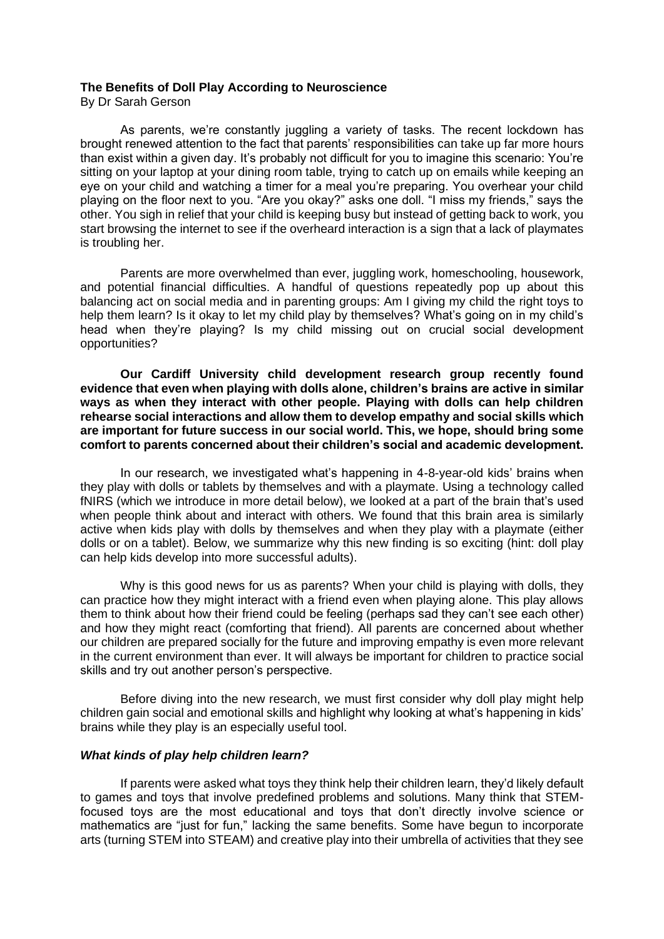### **The Benefits of Doll Play According to Neuroscience**

By Dr Sarah Gerson

As parents, we're constantly juggling a variety of tasks. The recent lockdown has brought renewed attention to the fact that parents' responsibilities can take up far more hours than exist within a given day. It's probably not difficult for you to imagine this scenario: You're sitting on your laptop at your dining room table, trying to catch up on emails while keeping an eye on your child and watching a timer for a meal you're preparing. You overhear your child playing on the floor next to you. "Are you okay?" asks one doll. "I miss my friends," says the other. You sigh in relief that your child is keeping busy but instead of getting back to work, you start browsing the internet to see if the overheard interaction is a sign that a lack of playmates is troubling her.

Parents are more overwhelmed than ever, juggling work, homeschooling, housework, and potential financial difficulties. A handful of questions repeatedly pop up about this balancing act on social media and in parenting groups: Am I giving my child the right toys to help them learn? Is it okay to let my child play by themselves? What's going on in my child's head when they're playing? Is my child missing out on crucial social development opportunities?

**Our Cardiff University child development research group recently found evidence that even when playing with dolls alone, children's brains are active in similar ways as when they interact with other people. Playing with dolls can help children rehearse social interactions and allow them to develop empathy and social skills which are important for future success in our social world. This, we hope, should bring some comfort to parents concerned about their children's social and academic development.** 

In our research, we investigated what's happening in 4-8-year-old kids' brains when they play with dolls or tablets by themselves and with a playmate. Using a technology called fNIRS (which we introduce in more detail below), we looked at a part of the brain that's used when people think about and interact with others. We found that this brain area is similarly active when kids play with dolls by themselves and when they play with a playmate (either dolls or on a tablet). Below, we summarize why this new finding is so exciting (hint: doll play can help kids develop into more successful adults).

Why is this good news for us as parents? When your child is playing with dolls, they can practice how they might interact with a friend even when playing alone. This play allows them to think about how their friend could be feeling (perhaps sad they can't see each other) and how they might react (comforting that friend). All parents are concerned about whether our children are prepared socially for the future and improving empathy is even more relevant in the current environment than ever. It will always be important for children to practice social skills and try out another person's perspective.

Before diving into the new research, we must first consider why doll play might help children gain social and emotional skills and highlight why looking at what's happening in kids' brains while they play is an especially useful tool.

#### *What kinds of play help children learn?*

If parents were asked what toys they think help their children learn, they'd likely default to games and toys that involve predefined problems and solutions. Many think that STEMfocused toys are the most educational and toys that don't directly involve science or mathematics are "just for fun," lacking the same benefits. Some have begun to incorporate arts (turning STEM into STEAM) and creative play into their umbrella of activities that they see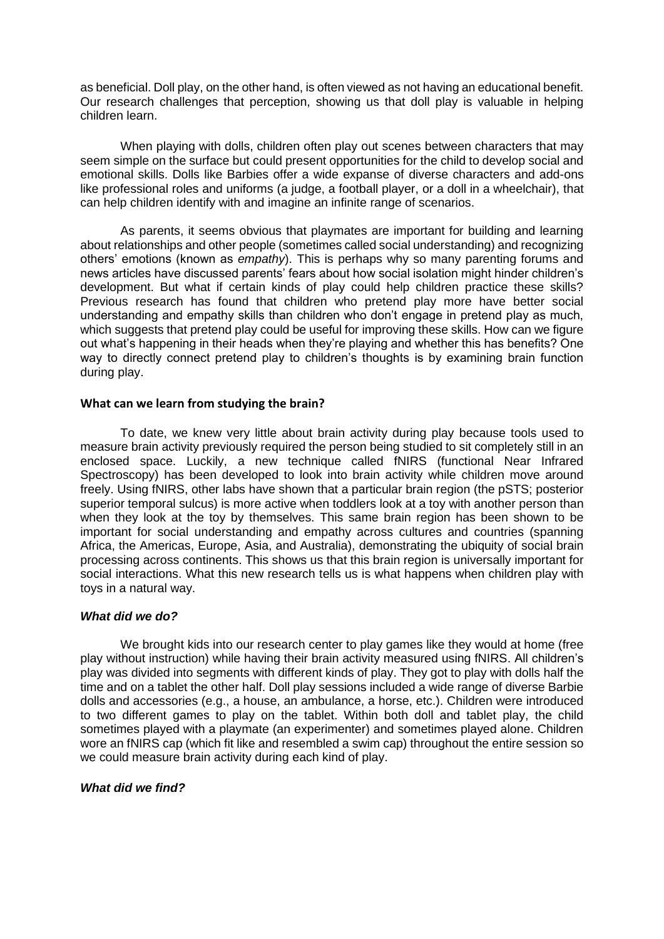as beneficial. Doll play, on the other hand, is often viewed as not having an educational benefit. Our research challenges that perception, showing us that doll play is valuable in helping children learn.

When playing with dolls, children often play out scenes between characters that may seem simple on the surface but could present opportunities for the child to develop social and emotional skills. Dolls like Barbies offer a wide expanse of diverse characters and add-ons like professional roles and uniforms (a judge, a football player, or a doll in a wheelchair), that can help children identify with and imagine an infinite range of scenarios.

As parents, it seems obvious that playmates are important for building and learning about relationships and other people (sometimes called social understanding) and recognizing others' emotions (known as *empathy*). This is perhaps why so many parenting forums and news articles have discussed parents' fears about how social isolation might hinder children's development. But what if certain kinds of play could help children practice these skills? Previous research has found that children who pretend play more have better social understanding and empathy skills than children who don't engage in pretend play as much, which suggests that pretend play could be useful for improving these skills. How can we figure out what's happening in their heads when they're playing and whether this has benefits? One way to directly connect pretend play to children's thoughts is by examining brain function during play.

### **What can we learn from studying the brain?**

To date, we knew very little about brain activity during play because tools used to measure brain activity previously required the person being studied to sit completely still in an enclosed space. Luckily, a new technique called fNIRS (functional Near Infrared Spectroscopy) has been developed to look into brain activity while children move around freely. Using fNIRS, other labs have shown that a particular brain region (the pSTS; posterior superior temporal sulcus) is more active when toddlers look at a toy with another person than when they look at the toy by themselves. This same brain region has been shown to be important for social understanding and empathy across cultures and countries (spanning Africa, the Americas, Europe, Asia, and Australia), demonstrating the ubiquity of social brain processing across continents. This shows us that this brain region is universally important for social interactions. What this new research tells us is what happens when children play with toys in a natural way.

## *What did we do?*

We brought kids into our research center to play games like they would at home (free play without instruction) while having their brain activity measured using fNIRS. All children's play was divided into segments with different kinds of play. They got to play with dolls half the time and on a tablet the other half. Doll play sessions included a wide range of diverse Barbie dolls and accessories (e.g., a house, an ambulance, a horse, etc.). Children were introduced to two different games to play on the tablet. Within both doll and tablet play, the child sometimes played with a playmate (an experimenter) and sometimes played alone. Children wore an fNIRS cap (which fit like and resembled a swim cap) throughout the entire session so we could measure brain activity during each kind of play.

# *What did we find?*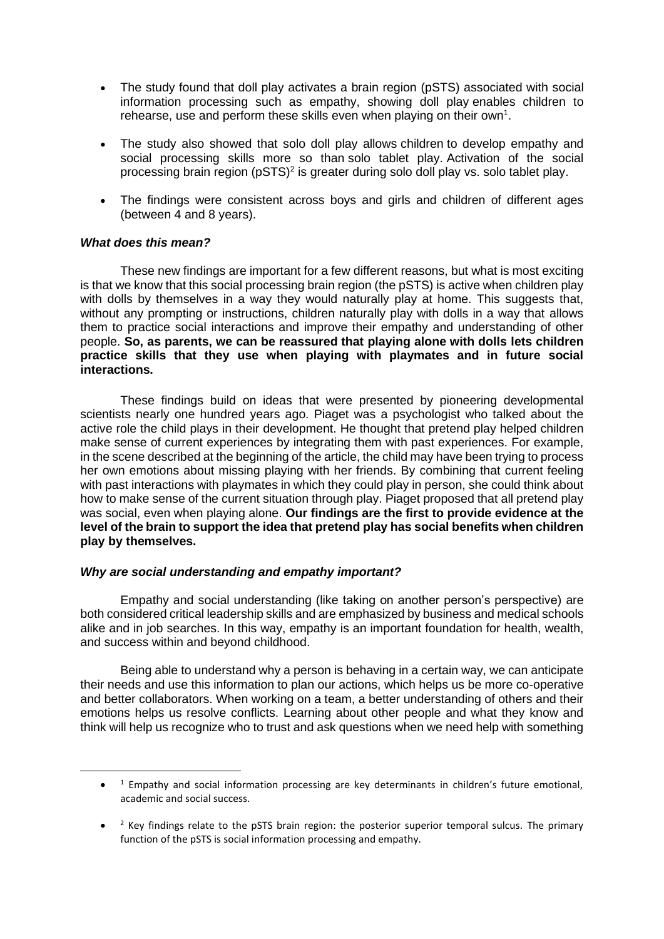- The study found that doll play activates a brain region (pSTS) associated with social information processing such as empathy, showing doll play enables children to rehearse, use and perform these skills even when playing on their own<sup>1</sup>.
- The study also showed that solo doll play allows children to develop empathy and social processing skills more so than solo tablet play. Activation of the social processing brain region ( $pSTS$ )<sup>2</sup> is greater during solo doll play vs. solo tablet play.
- The findings were consistent across boys and girls and children of different ages (between 4 and 8 years).

## *What does this mean?*

These new findings are important for a few different reasons, but what is most exciting is that we know that this social processing brain region (the pSTS) is active when children play with dolls by themselves in a way they would naturally play at home. This suggests that, without any prompting or instructions, children naturally play with dolls in a way that allows them to practice social interactions and improve their empathy and understanding of other people. **So, as parents, we can be reassured that playing alone with dolls lets children practice skills that they use when playing with playmates and in future social interactions.**

These findings build on ideas that were presented by pioneering developmental scientists nearly one hundred years ago. Piaget was a psychologist who talked about the active role the child plays in their development. He thought that pretend play helped children make sense of current experiences by integrating them with past experiences. For example, in the scene described at the beginning of the article, the child may have been trying to process her own emotions about missing playing with her friends. By combining that current feeling with past interactions with playmates in which they could play in person, she could think about how to make sense of the current situation through play. Piaget proposed that all pretend play was social, even when playing alone. **Our findings are the first to provide evidence at the level of the brain to support the idea that pretend play has social benefits when children play by themselves.**

### *Why are social understanding and empathy important?*

Empathy and social understanding (like taking on another person's perspective) are both considered critical leadership skills and are emphasized by business and medical schools alike and in job searches. In this way, empathy is an important foundation for health, wealth, and success within and beyond childhood.

Being able to understand why a person is behaving in a certain way, we can anticipate their needs and use this information to plan our actions, which helps us be more co-operative and better collaborators. When working on a team, a better understanding of others and their emotions helps us resolve conflicts. Learning about other people and what they know and think will help us recognize who to trust and ask questions when we need help with something

<sup>•</sup> <sup>1</sup> Empathy and social information processing are key determinants in children's future emotional, academic and social success.

<sup>•</sup>  $<sup>2</sup>$  Key findings relate to the pSTS brain region: the posterior superior temporal sulcus. The primary</sup> function of the pSTS is social information processing and empathy.